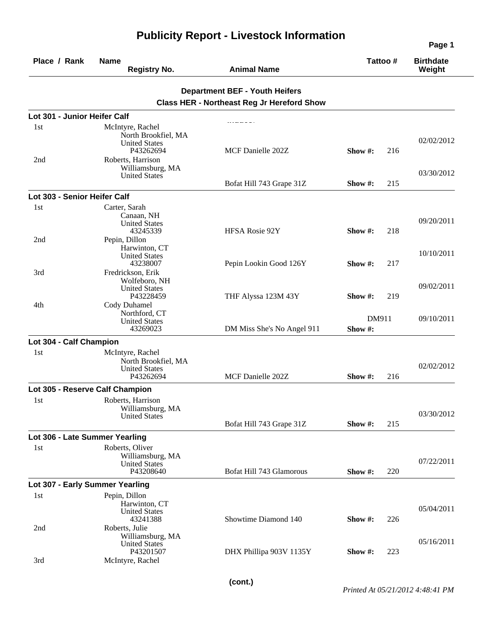| Place / Rank                    | <b>Name</b><br><b>Registry No.</b>                                           | <b>Animal Name</b>                                |                  | Tattoo# | <b>Birthdate</b><br>Weight |
|---------------------------------|------------------------------------------------------------------------------|---------------------------------------------------|------------------|---------|----------------------------|
|                                 |                                                                              | <b>Department BEF - Youth Heifers</b>             |                  |         |                            |
|                                 |                                                                              | <b>Class HER - Northeast Reg Jr Hereford Show</b> |                  |         |                            |
| Lot 301 - Junior Heifer Calf    |                                                                              |                                                   |                  |         |                            |
| 1st                             | McIntyre, Rachel<br>North Brookfiel, MA<br><b>United States</b><br>P43262694 | MCF Danielle 202Z                                 | Show $#$ :       | 216     | 02/02/2012                 |
| 2nd                             | Roberts, Harrison<br>Williamsburg, MA<br><b>United States</b>                | Bofat Hill 743 Grape 31Z                          | Show #:          | 215     | 03/30/2012                 |
| Lot 303 - Senior Heifer Calf    |                                                                              |                                                   |                  |         |                            |
| 1st                             | Carter, Sarah<br>Canaan, NH<br><b>United States</b><br>43245339              | HFSA Rosie 92Y                                    | Show $\#$ :      | 218     | 09/20/2011                 |
| 2nd                             | Pepin, Dillon<br>Harwinton, CT<br><b>United States</b><br>43238007           | Pepin Lookin Good 126Y                            | Show $\#$ :      | 217     | 10/10/2011                 |
| 3rd<br>4th                      | Fredrickson, Erik<br>Wolfeboro, NH<br><b>United States</b><br>P43228459      | THF Alyssa 123M 43Y                               | Show #:          | 219     | 09/02/2011                 |
|                                 | Cody Duhamel<br>Northford, CT<br><b>United States</b><br>43269023            | DM Miss She's No Angel 911                        | DM911<br>Show #: |         | 09/10/2011                 |
| Lot 304 - Calf Champion         |                                                                              |                                                   |                  |         |                            |
| 1st                             | McIntyre, Rachel<br>North Brookfiel, MA<br><b>United States</b><br>P43262694 | MCF Danielle 202Z                                 | Show $\#$ :      | 216     | 02/02/2012                 |
|                                 | Lot 305 - Reserve Calf Champion                                              |                                                   |                  |         |                            |
| 1st                             | Roberts, Harrison<br>Williamsburg, MA<br><b>United States</b>                |                                                   |                  |         | 03/30/2012                 |
|                                 |                                                                              | Bofat Hill 743 Grape 31Z                          | Show #:          | 215     |                            |
| Lot 306 - Late Summer Yearling  |                                                                              |                                                   |                  |         |                            |
| 1st                             | Roberts, Oliver<br>Williamsburg, MA<br><b>United States</b><br>P43208640     | Bofat Hill 743 Glamorous                          | Show #:          | 220     | 07/22/2011                 |
| Lot 307 - Early Summer Yearling |                                                                              |                                                   |                  |         |                            |
| 1st                             | Pepin, Dillon<br>Harwinton, CT<br><b>United States</b><br>43241388           | Showtime Diamond 140                              | Show $\#$ :      | 226     | 05/04/2011                 |
| 2nd                             | Roberts, Julie<br>Williamsburg, MA<br><b>United States</b>                   |                                                   |                  |         | 05/16/2011                 |
| 3rd                             | P43201507<br>McIntyre, Rachel                                                | DHX Phillipa 903V 1135Y                           | Show #:          | 223     |                            |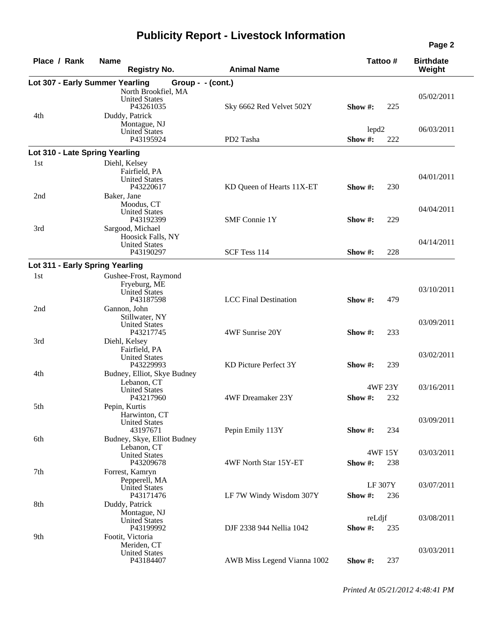| Place / Rank                    | <b>Name</b><br><b>Registry No.</b>                                         | <b>Animal Name</b>           | Tattoo#                             | <b>Birthdate</b><br>Weight |
|---------------------------------|----------------------------------------------------------------------------|------------------------------|-------------------------------------|----------------------------|
| Lot 307 - Early Summer Yearling | Group - $-$ (cont.)                                                        |                              |                                     |                            |
| 4th                             | North Brookfiel, MA<br><b>United States</b><br>P43261035<br>Duddy, Patrick | Sky 6662 Red Velvet 502Y     | 225<br>Show #:                      | 05/02/2011                 |
|                                 | Montague, NJ<br><b>United States</b><br>P43195924                          | PD2 Tasha                    | lepd <sub>2</sub><br>Show #:<br>222 | 06/03/2011                 |
| Lot 310 - Late Spring Yearling  |                                                                            |                              |                                     |                            |
| 1st                             | Diehl, Kelsey                                                              |                              |                                     |                            |
|                                 | Fairfield, PA<br><b>United States</b><br>P43220617                         | KD Queen of Hearts 11X-ET    | Show $#$ :                          | 04/01/2011<br>230          |
| 2nd                             | Baker, Jane<br>Moodus, CT<br><b>United States</b><br>P43192399             | <b>SMF</b> Connie 1Y         | Show $#$ :<br>229                   | 04/04/2011                 |
| 3rd                             | Sargood, Michael<br>Hoosick Falls, NY<br><b>United States</b><br>P43190297 | SCF Tess 114                 | Show #:                             | 04/14/2011<br>228          |
|                                 |                                                                            |                              |                                     |                            |
| Lot 311 - Early Spring Yearling |                                                                            |                              |                                     |                            |
| 1st                             | Gushee-Frost, Raymond<br>Fryeburg, ME<br>United States<br>P43187598        | <b>LCC</b> Final Destination | Show #:<br>479                      | 03/10/2011                 |
| 2nd                             | Gannon, John<br>Stillwater, NY<br><b>United States</b><br>P43217745        | 4WF Sunrise 20Y              | Show $#$ :                          | 03/09/2011<br>233          |
| 3rd                             | Diehl, Kelsey<br>Fairfield, PA<br><b>United States</b><br>P43229993        | KD Picture Perfect 3Y        | Show #:                             | 03/02/2011<br>239          |
| 4th                             | Budney, Elliot, Skye Budney<br>Lebanon, CT<br><b>United States</b>         |                              | 4WF 23Y                             | 03/16/2011                 |
| 5th                             | P43217960<br>Pepin, Kurtis<br>Harwinton, CT                                | 4WF Dreamaker 23Y            | Show $#$ :<br>232                   |                            |
| 6th                             | <b>United States</b><br>43197671<br>Budney, Skye, Elliot Budney            | Pepin Emily 113Y             | Show #:                             | 03/09/2011<br>234          |
| 7th                             | Lebanon, CT<br><b>United States</b><br>P43209678<br>Forrest, Kamryn        | 4WF North Star 15Y-ET        | 4WF 15Y<br>238<br>Show#:            | 03/03/2011                 |
|                                 | Pepperell, MA<br><b>United States</b><br>P43171476                         | LF 7W Windy Wisdom 307Y      | <b>LF 307Y</b><br>Show#:            | 03/07/2011<br>236          |
| 8th                             | Duddy, Patrick<br>Montague, NJ<br><b>United States</b>                     |                              | reLdjf                              | 03/08/2011                 |
| 9th                             | P43199992<br>Footit, Victoria<br>Meriden, CT                               | DJF 2338 944 Nellia 1042     | Show#:<br>235                       |                            |
|                                 | <b>United States</b><br>P43184407                                          | AWB Miss Legend Vianna 1002  | 237<br>Show#:                       | 03/03/2011                 |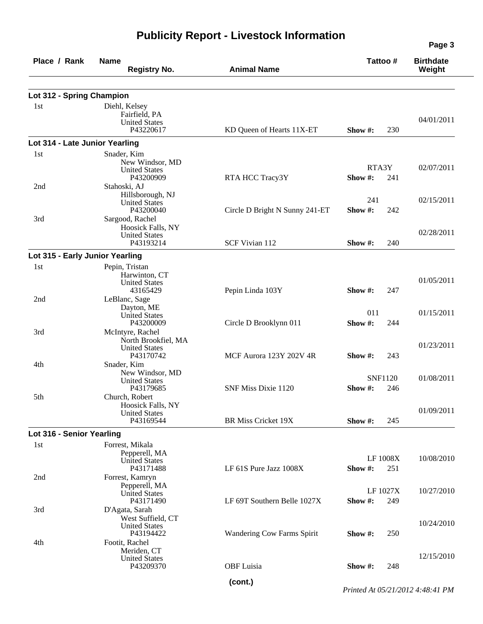| Place / Rank                    | <b>Name</b><br><b>Registry No.</b>      | <b>Animal Name</b>                |             | Tattoo #        | <b>Birthdate</b><br>Weight |
|---------------------------------|-----------------------------------------|-----------------------------------|-------------|-----------------|----------------------------|
| Lot 312 - Spring Champion       |                                         |                                   |             |                 |                            |
| 1st                             | Diehl, Kelsey                           |                                   |             |                 |                            |
|                                 | Fairfield, PA                           |                                   |             |                 |                            |
|                                 | <b>United States</b>                    |                                   |             |                 | 04/01/2011                 |
|                                 | P43220617                               | KD Queen of Hearts 11X-ET         | Show $\#$ : | 230             |                            |
| Lot 314 - Late Junior Yearling  |                                         |                                   |             |                 |                            |
| 1st                             | Snader, Kim                             |                                   |             |                 |                            |
|                                 | New Windsor, MD<br><b>United States</b> |                                   |             | RTA3Y           | 02/07/2011                 |
|                                 | P43200909                               | RTA HCC Tracy3Y                   | Show #:     | 241             |                            |
| 2nd                             | Stahoski, AJ                            |                                   |             |                 |                            |
|                                 | Hillsborough, NJ                        |                                   | 241         |                 | 02/15/2011                 |
|                                 | <b>United States</b><br>P43200040       | Circle D Bright N Sunny 241-ET    | Show#:      | 242             |                            |
| 3rd                             | Sargood, Rachel                         |                                   |             |                 |                            |
|                                 | Hoosick Falls, NY                       |                                   |             |                 |                            |
|                                 | <b>United States</b>                    |                                   |             |                 | 02/28/2011                 |
|                                 | P43193214                               | SCF Vivian 112                    | Show #:     | 240             |                            |
| Lot 315 - Early Junior Yearling |                                         |                                   |             |                 |                            |
| 1st                             | Pepin, Tristan                          |                                   |             |                 |                            |
|                                 | Harwinton, CT                           |                                   |             |                 | 01/05/2011                 |
|                                 | <b>United States</b><br>43165429        | Pepin Linda 103Y                  | Show #:     | 247             |                            |
| 2nd                             | LeBlanc, Sage                           |                                   |             |                 |                            |
|                                 | Dayton, ME                              |                                   | 011         |                 |                            |
|                                 | <b>United States</b>                    |                                   |             |                 | 01/15/2011                 |
| 3rd                             | P43200009<br>McIntyre, Rachel           | Circle D Brooklynn 011            | Show#:      | 244             |                            |
|                                 | North Brookfiel, MA                     |                                   |             |                 |                            |
|                                 | <b>United States</b>                    |                                   |             |                 | 01/23/2011                 |
|                                 | P43170742                               | MCF Aurora 123Y 202V 4R           | Show #:     | 243             |                            |
| 4th                             | Snader, Kim                             |                                   |             |                 |                            |
|                                 | New Windsor, MD<br><b>United States</b> |                                   |             | <b>SNF1120</b>  | 01/08/2011                 |
|                                 | P43179685                               | SNF Miss Dixie 1120               | Show #:     | 246             |                            |
| 5th                             | Church, Robert                          |                                   |             |                 |                            |
|                                 | Hoosick Falls, NY                       |                                   |             |                 | 01/09/2011                 |
|                                 | <b>United States</b><br>P43169544       | BR Miss Cricket 19X               | Show #:     | 245             |                            |
| Lot 316 - Senior Yearling       |                                         |                                   |             |                 |                            |
| 1st                             | Forrest, Mikala                         |                                   |             |                 |                            |
|                                 | Pepperell, MA                           |                                   |             |                 |                            |
|                                 | <b>United States</b>                    |                                   |             | <b>LF 1008X</b> | 10/08/2010                 |
|                                 | P43171488                               | LF 61S Pure Jazz 1008X            | Show#:      | 251             |                            |
| 2nd                             | Forrest, Kamryn                         |                                   |             |                 |                            |
|                                 | Pepperell, MA<br><b>United States</b>   |                                   |             | LF 1027X        | 10/27/2010                 |
|                                 | P43171490                               | LF 69T Southern Belle 1027X       | Show#:      | 249             |                            |
| 3rd                             | D'Agata, Sarah                          |                                   |             |                 |                            |
|                                 | West Suffield, CT                       |                                   |             |                 | 10/24/2010                 |
|                                 | <b>United States</b><br>P43194422       | <b>Wandering Cow Farms Spirit</b> | Show $#$ :  | 250             |                            |
| 4th                             | Footit, Rachel                          |                                   |             |                 |                            |
|                                 | Meriden, CT                             |                                   |             |                 |                            |
|                                 | <b>United States</b>                    |                                   |             |                 | 12/15/2010                 |
|                                 | P43209370                               | <b>OBF</b> Luisia                 | Show $#$ :  | 248             |                            |

*Printed At 05/21/2012 4:48:41 PM*

**(cont.)**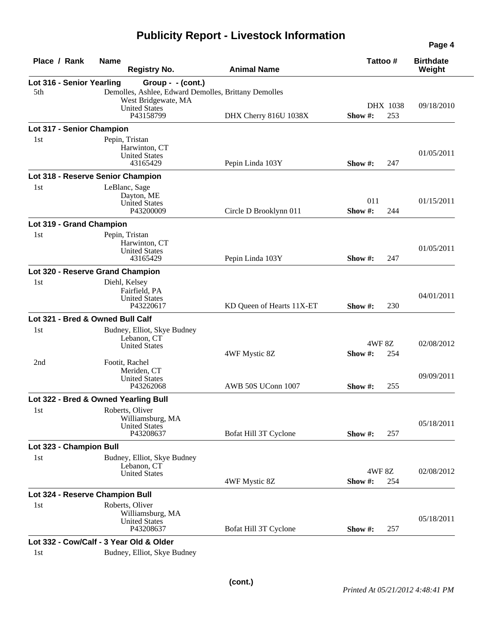| Place / Rank              | <b>Name</b><br><b>Registry No.</b>                   | <b>Animal Name</b>        | Tattoo#      |     | <b>Birthdate</b><br>Weight |
|---------------------------|------------------------------------------------------|---------------------------|--------------|-----|----------------------------|
| Lot 316 - Senior Yearling | Group - - (cont.)                                    |                           |              |     |                            |
| 5th                       | Demolles, Ashlee, Edward Demolles, Brittany Demolles |                           |              |     |                            |
|                           | West Bridgewate, MA<br><b>United States</b>          |                           | DHX 1038     |     | 09/18/2010                 |
|                           | P43158799                                            | DHX Cherry 816U 1038X     | Show#:       | 253 |                            |
| Lot 317 - Senior Champion |                                                      |                           |              |     |                            |
| 1st                       | Pepin, Tristan                                       |                           |              |     |                            |
|                           | Harwinton, CT                                        |                           |              |     |                            |
|                           | <b>United States</b>                                 |                           |              |     | 01/05/2011                 |
|                           | 43165429                                             | Pepin Linda 103Y          | Show #:      | 247 |                            |
|                           | Lot 318 - Reserve Senior Champion                    |                           |              |     |                            |
| 1st                       | LeBlanc, Sage                                        |                           |              |     |                            |
|                           | Dayton, ME<br><b>United States</b>                   |                           | 011          |     | 01/15/2011                 |
|                           | P43200009                                            | Circle D Brooklynn 011    | Show#:       | 244 |                            |
| Lot 319 - Grand Champion  |                                                      |                           |              |     |                            |
| 1st                       | Pepin, Tristan                                       |                           |              |     |                            |
|                           | Harwinton, CT                                        |                           |              |     |                            |
|                           | <b>United States</b>                                 |                           |              |     | 01/05/2011                 |
|                           | 43165429                                             | Pepin Linda 103Y          | Show #:      | 247 |                            |
|                           | Lot 320 - Reserve Grand Champion                     |                           |              |     |                            |
| 1st                       | Diehl, Kelsey                                        |                           |              |     |                            |
|                           | Fairfield, PA<br><b>United States</b>                |                           |              |     | 04/01/2011                 |
|                           | P43220617                                            | KD Queen of Hearts 11X-ET | Show #:      | 230 |                            |
|                           | Lot 321 - Bred & Owned Bull Calf                     |                           |              |     |                            |
| 1st                       | Budney, Elliot, Skye Budney                          |                           |              |     |                            |
|                           | Lebanon, CT                                          |                           |              |     |                            |
|                           | <b>United States</b>                                 |                           | <b>4WF8Z</b> |     | 02/08/2012                 |
| 2nd                       | Footit, Rachel                                       | 4WF Mystic 8Z             | Show#:       | 254 |                            |
|                           | Meriden, CT                                          |                           |              |     |                            |
|                           | <b>United States</b>                                 |                           |              |     | 09/09/2011                 |
|                           | P43262068                                            | AWB 50S UConn 1007        | Show $#$ :   | 255 |                            |
|                           | Lot 322 - Bred & Owned Yearling Bull                 |                           |              |     |                            |
| 1st                       | Roberts, Oliver                                      |                           |              |     |                            |
|                           | Williamsburg, MA<br><b>United States</b>             |                           |              |     | 05/18/2011                 |
|                           | P43208637                                            | Bofat Hill 3T Cyclone     | Show#:       | 257 |                            |
| Lot 323 - Champion Bull   |                                                      |                           |              |     |                            |
| 1st                       | Budney, Elliot, Skye Budney                          |                           |              |     |                            |
|                           | Lebanon, CT                                          |                           |              |     |                            |
|                           | <b>United States</b>                                 |                           | <b>4WF8Z</b> |     | 02/08/2012                 |
|                           |                                                      | 4WF Mystic 8Z             | Show #:      | 254 |                            |
|                           | Lot 324 - Reserve Champion Bull                      |                           |              |     |                            |
| 1st                       | Roberts, Oliver                                      |                           |              |     |                            |
|                           | Williamsburg, MA<br><b>United States</b>             |                           |              |     | 05/18/2011                 |
|                           | P43208637                                            | Bofat Hill 3T Cyclone     | Show #:      | 257 |                            |
|                           | Lot 332 - Cow/Calf - 3 Year Old & Older              |                           |              |     |                            |
| 1st                       | Budney, Elliot, Skye Budney                          |                           |              |     |                            |
|                           |                                                      |                           |              |     |                            |